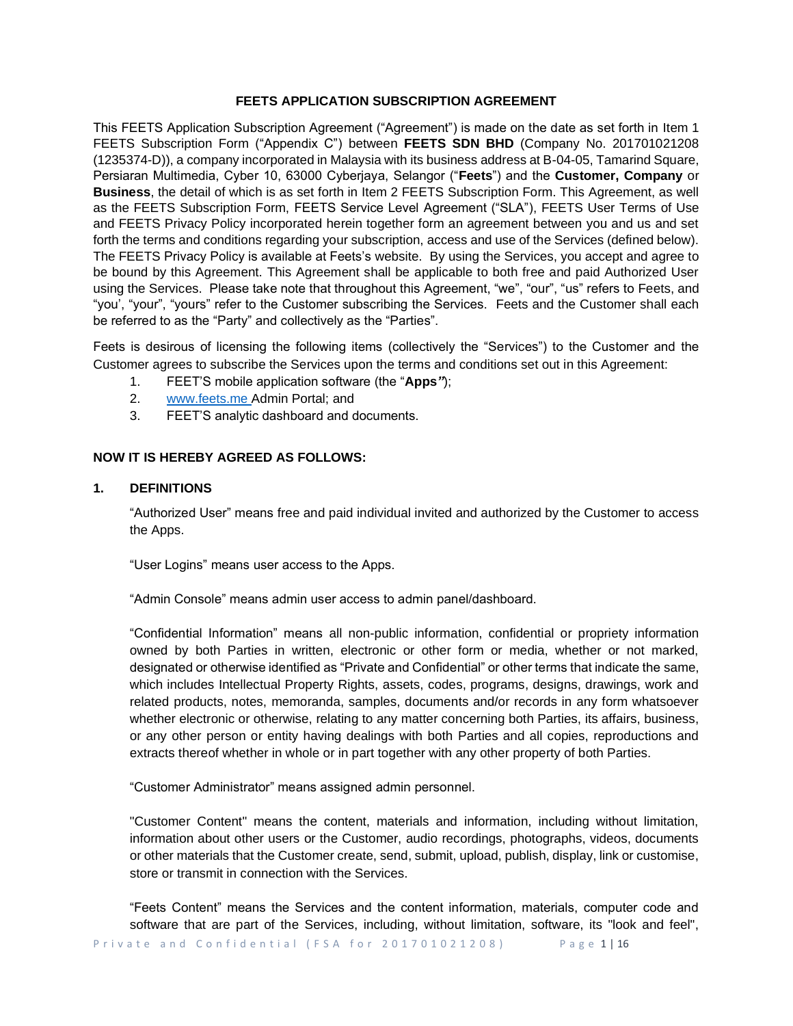### **FEETS APPLICATION SUBSCRIPTION AGREEMENT**

This FEETS Application Subscription Agreement ("Agreement") is made on the date as set forth in Item 1 FEETS Subscription Form ("Appendix C") between **FEETS SDN BHD** (Company No. 201701021208 (1235374-D)), a company incorporated in Malaysia with its business address at B-04-05, Tamarind Square, Persiaran Multimedia, Cyber 10, 63000 Cyberjaya, Selangor ("**Feets**") and the **Customer, Company** or **Business**, the detail of which is as set forth in Item 2 FEETS Subscription Form. This Agreement, as well as the FEETS Subscription Form, FEETS Service Level Agreement ("SLA"), FEETS User Terms of Use and FEETS Privacy Policy incorporated herein together form an agreement between you and us and set forth the terms and conditions regarding your subscription, access and use of the Services (defined below). The FEETS Privacy Policy is available at Feets's website. By using the Services, you accept and agree to be bound by this Agreement. This Agreement shall be applicable to both free and paid Authorized User using the Services. Please take note that throughout this Agreement, "we", "our", "us" refers to Feets, and "you', "your", "yours" refer to the Customer subscribing the Services. Feets and the Customer shall each be referred to as the "Party" and collectively as the "Parties".

Feets is desirous of licensing the following items (collectively the "Services") to the Customer and the Customer agrees to subscribe the Services upon the terms and conditions set out in this Agreement:

- 1. FEET'S mobile application software (the "**Apps***"*);
- 2. [www.feets.me](http://www.feets.me/) Admin Portal; and
- 3. FEET'S analytic dashboard and documents.

# **NOW IT IS HEREBY AGREED AS FOLLOWS:**

### **1. DEFINITIONS**

"Authorized User" means free and paid individual invited and authorized by the Customer to access the Apps.

"User Logins" means user access to the Apps.

"Admin Console" means admin user access to admin panel/dashboard.

"Confidential Information" means all non-public information, confidential or propriety information owned by both Parties in written, electronic or other form or media, whether or not marked, designated or otherwise identified as "Private and Confidential" or other terms that indicate the same, which includes Intellectual Property Rights, assets, codes, programs, designs, drawings, work and related products, notes, memoranda, samples, documents and/or records in any form whatsoever whether electronic or otherwise, relating to any matter concerning both Parties, its affairs, business, or any other person or entity having dealings with both Parties and all copies, reproductions and extracts thereof whether in whole or in part together with any other property of both Parties.

"Customer Administrator" means assigned admin personnel.

"Customer Content" means the content, materials and information, including without limitation, information about other users or the Customer, audio recordings, photographs, videos, documents or other materials that the Customer create, send, submit, upload, publish, display, link or customise, store or transmit in connection with the Services.

"Feets Content" means the Services and the content information, materials, computer code and software that are part of the Services, including, without limitation, software, its "look and feel",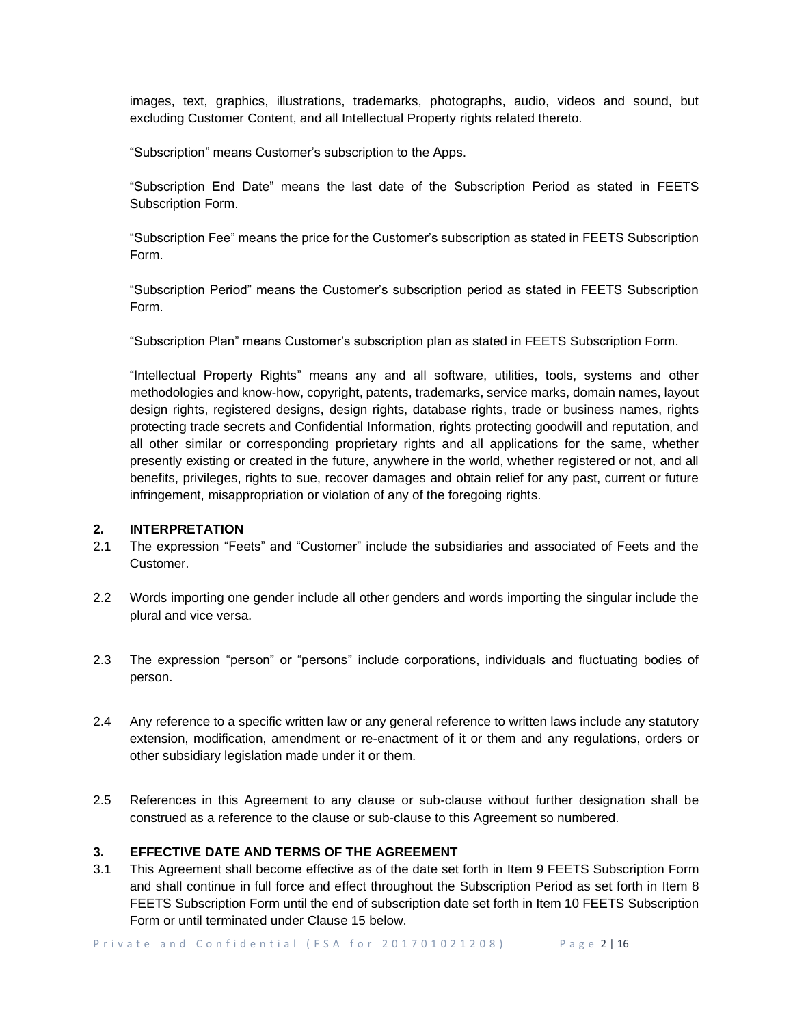images, text, graphics, illustrations, trademarks, photographs, audio, videos and sound, but excluding Customer Content, and all Intellectual Property rights related thereto.

"Subscription" means Customer's subscription to the Apps.

"Subscription End Date" means the last date of the Subscription Period as stated in FEETS Subscription Form.

"Subscription Fee" means the price for the Customer's subscription as stated in FEETS Subscription Form.

"Subscription Period" means the Customer's subscription period as stated in FEETS Subscription Form.

"Subscription Plan" means Customer's subscription plan as stated in FEETS Subscription Form.

"Intellectual Property Rights" means any and all software, utilities, tools, systems and other methodologies and know-how, copyright, patents, trademarks, service marks, domain names, layout design rights, registered designs, design rights, database rights, trade or business names, rights protecting trade secrets and Confidential Information, rights protecting goodwill and reputation, and all other similar or corresponding proprietary rights and all applications for the same, whether presently existing or created in the future, anywhere in the world, whether registered or not, and all benefits, privileges, rights to sue, recover damages and obtain relief for any past, current or future infringement, misappropriation or violation of any of the foregoing rights.

### **2. INTERPRETATION**

- 2.1 The expression "Feets" and "Customer" include the subsidiaries and associated of Feets and the Customer.
- 2.2 Words importing one gender include all other genders and words importing the singular include the plural and vice versa.
- 2.3 The expression "person" or "persons" include corporations, individuals and fluctuating bodies of person.
- 2.4 Any reference to a specific written law or any general reference to written laws include any statutory extension, modification, amendment or re-enactment of it or them and any regulations, orders or other subsidiary legislation made under it or them.
- 2.5 References in this Agreement to any clause or sub-clause without further designation shall be construed as a reference to the clause or sub-clause to this Agreement so numbered.

### **3. EFFECTIVE DATE AND TERMS OF THE AGREEMENT**

3.1 This Agreement shall become effective as of the date set forth in Item 9 FEETS Subscription Form and shall continue in full force and effect throughout the Subscription Period as set forth in Item 8 FEETS Subscription Form until the end of subscription date set forth in Item 10 FEETS Subscription Form or until terminated under Clause 15 below.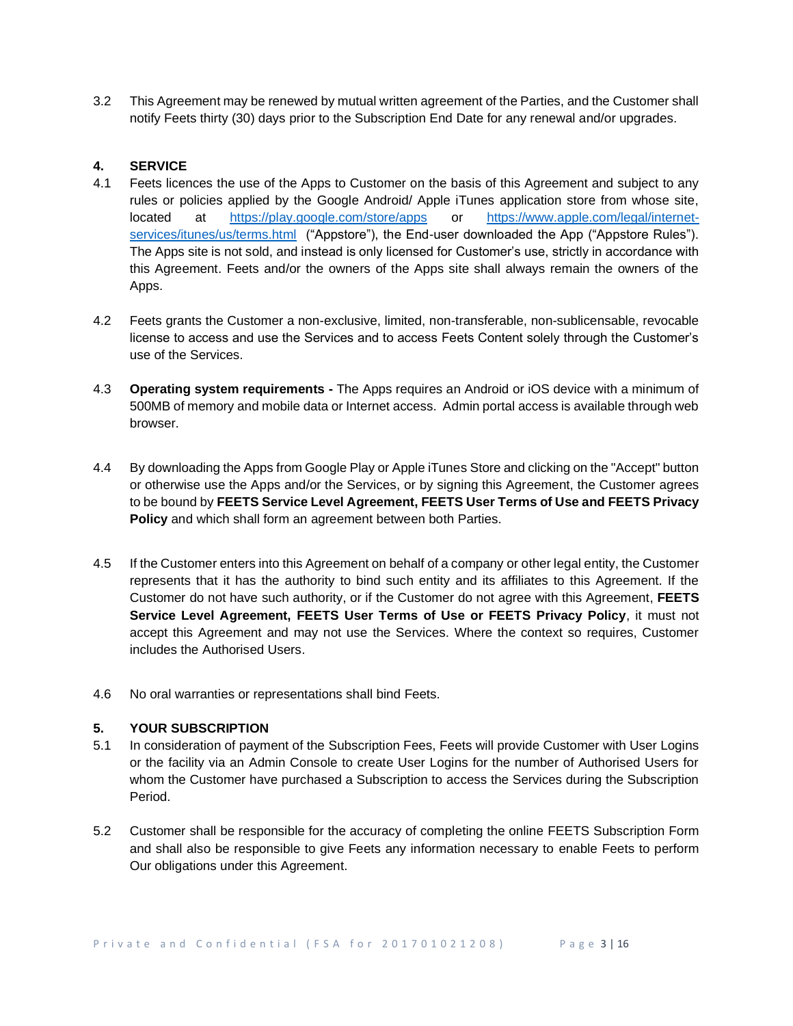3.2 This Agreement may be renewed by mutual written agreement of the Parties, and the Customer shall notify Feets thirty (30) days prior to the Subscription End Date for any renewal and/or upgrades.

# **4. SERVICE**

- 4.1 Feets licences the use of the Apps to Customer on the basis of this Agreement and subject to any rules or policies applied by the Google Android/ Apple iTunes application store from whose site, located at <https://play.google.com/store/apps> or [https://www.apple.com/legal/internet](https://www.apple.com/legal/internet-services/itunes/us/terms.html)[services/itunes/us/terms.html](https://www.apple.com/legal/internet-services/itunes/us/terms.html) ("Appstore"), the End-user downloaded the App ("Appstore Rules"). The Apps site is not sold, and instead is only licensed for Customer's use, strictly in accordance with this Agreement. Feets and/or the owners of the Apps site shall always remain the owners of the Apps.
- 4.2 Feets grants the Customer a non-exclusive, limited, non-transferable, non-sublicensable, revocable license to access and use the Services and to access Feets Content solely through the Customer's use of the Services.
- 4.3 **Operating system requirements -** The Apps requires an Android or iOS device with a minimum of 500MB of memory and mobile data or Internet access. Admin portal access is available through web browser.
- 4.4 By downloading the Apps from Google Play or Apple iTunes Store and clicking on the "Accept" button or otherwise use the Apps and/or the Services, or by signing this Agreement, the Customer agrees to be bound by **FEETS Service Level Agreement, FEETS User Terms of Use and FEETS Privacy Policy** and which shall form an agreement between both Parties.
- 4.5 If the Customer enters into this Agreement on behalf of a company or other legal entity, the Customer represents that it has the authority to bind such entity and its affiliates to this Agreement. If the Customer do not have such authority, or if the Customer do not agree with this Agreement, **FEETS Service Level Agreement, FEETS User Terms of Use or FEETS Privacy Policy**, it must not accept this Agreement and may not use the Services. Where the context so requires, Customer includes the Authorised Users.
- 4.6 No oral warranties or representations shall bind Feets.

# **5. YOUR SUBSCRIPTION**

- 5.1 In consideration of payment of the Subscription Fees, Feets will provide Customer with User Logins or the facility via an Admin Console to create User Logins for the number of Authorised Users for whom the Customer have purchased a Subscription to access the Services during the Subscription Period.
- 5.2 Customer shall be responsible for the accuracy of completing the online FEETS Subscription Form and shall also be responsible to give Feets any information necessary to enable Feets to perform Our obligations under this Agreement.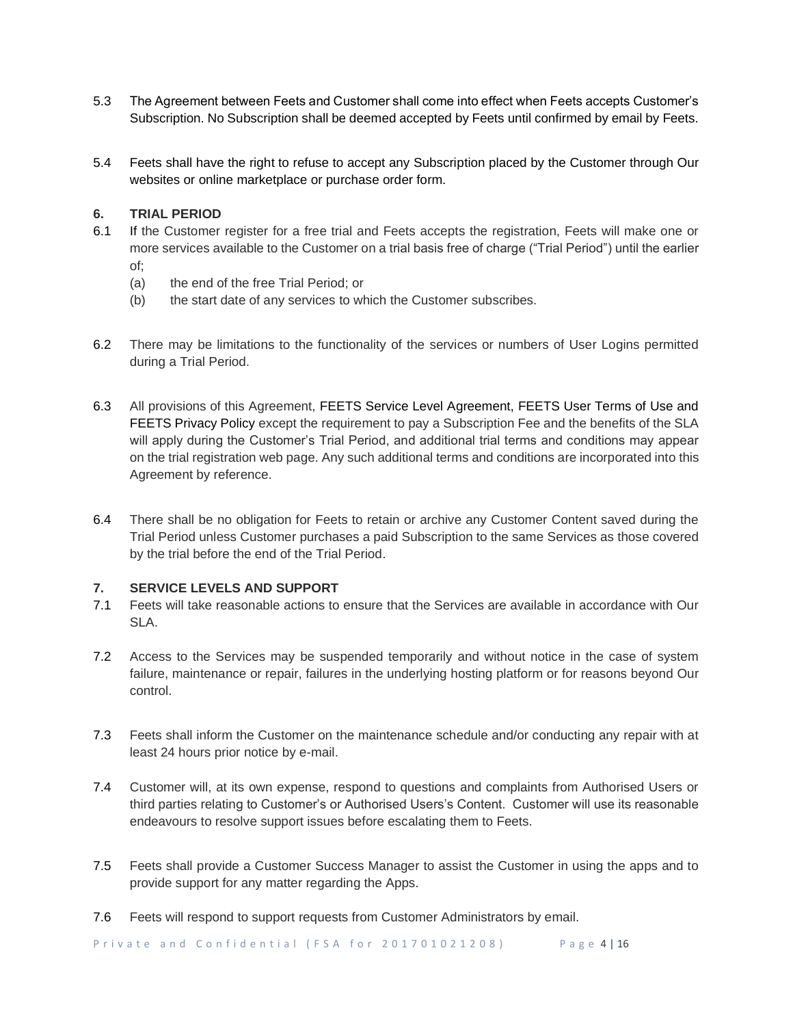- 5.3 The Agreement between Feets and Customer shall come into effect when Feets accepts Customer's Subscription. No Subscription shall be deemed accepted by Feets until confirmed by email by Feets.
- 5.4 Feets shall have the right to refuse to accept any Subscription placed by the Customer through Our websites or online marketplace or purchase order form.

# **6. TRIAL PERIOD**

- 6.1 If the Customer register for a free trial and Feets accepts the registration, Feets will make one or more services available to the Customer on a trial basis free of charge ("Trial Period") until the earlier of;
	- (a) the end of the free Trial Period; or
	- (b) the start date of any services to which the Customer subscribes.
- 6.2 There may be limitations to the functionality of the services or numbers of User Logins permitted during a Trial Period.
- 6.3 All provisions of this Agreement, FEETS Service Level Agreement, FEETS User Terms of Use and FEETS Privacy Policy except the requirement to pay a Subscription Fee and the benefits of the SLA will apply during the Customer's Trial Period, and additional trial terms and conditions may appear on the trial registration web page. Any such additional terms and conditions are incorporated into this Agreement by reference.
- 6.4 There shall be no obligation for Feets to retain or archive any Customer Content saved during the Trial Period unless Customer purchases a paid Subscription to the same Services as those covered by the trial before the end of the Trial Period.

# **7. SERVICE LEVELS AND SUPPORT**

- 7.1 Feets will take reasonable actions to ensure that the Services are available in accordance with Our SLA.
- 7.2 Access to the Services may be suspended temporarily and without notice in the case of system failure, maintenance or repair, failures in the underlying hosting platform or for reasons beyond Our control.
- 7.3 Feets shall inform the Customer on the maintenance schedule and/or conducting any repair with at least 24 hours prior notice by e-mail.
- 7.4 Customer will, at its own expense, respond to questions and complaints from Authorised Users or third parties relating to Customer's or Authorised Users's Content. Customer will use its reasonable endeavours to resolve support issues before escalating them to Feets.
- 7.5 Feets shall provide a Customer Success Manager to assist the Customer in using the apps and to provide support for any matter regarding the Apps.
- 7.6 Feets will respond to support requests from Customer Administrators by email.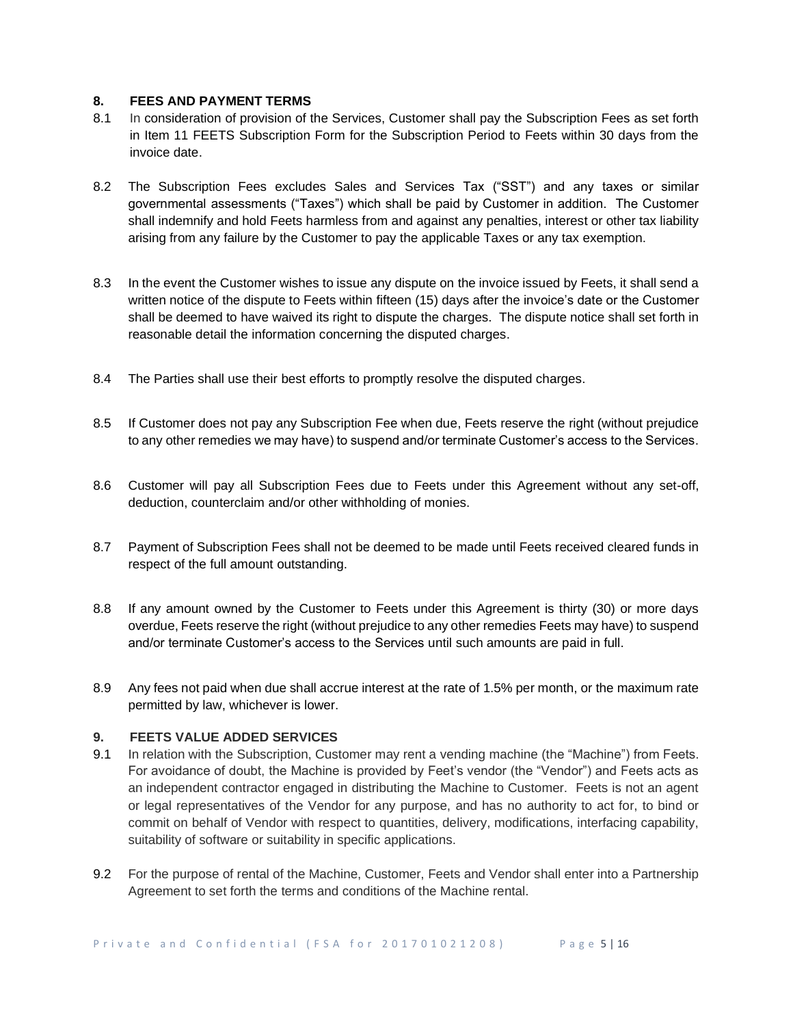# **8. FEES AND PAYMENT TERMS**

- 8.1 In consideration of provision of the Services, Customer shall pay the Subscription Fees as set forth in Item 11 FEETS Subscription Form for the Subscription Period to Feets within 30 days from the invoice date.
- 8.2 The Subscription Fees excludes Sales and Services Tax ("SST") and any taxes or similar governmental assessments ("Taxes") which shall be paid by Customer in addition. The Customer shall indemnify and hold Feets harmless from and against any penalties, interest or other tax liability arising from any failure by the Customer to pay the applicable Taxes or any tax exemption.
- 8.3 In the event the Customer wishes to issue any dispute on the invoice issued by Feets, it shall send a written notice of the dispute to Feets within fifteen (15) days after the invoice's date or the Customer shall be deemed to have waived its right to dispute the charges. The dispute notice shall set forth in reasonable detail the information concerning the disputed charges.
- 8.4 The Parties shall use their best efforts to promptly resolve the disputed charges.
- 8.5 If Customer does not pay any Subscription Fee when due, Feets reserve the right (without prejudice to any other remedies we may have) to suspend and/or terminate Customer's access to the Services.
- 8.6 Customer will pay all Subscription Fees due to Feets under this Agreement without any set-off, deduction, counterclaim and/or other withholding of monies.
- 8.7 Payment of Subscription Fees shall not be deemed to be made until Feets received cleared funds in respect of the full amount outstanding.
- 8.8 If any amount owned by the Customer to Feets under this Agreement is thirty (30) or more days overdue, Feets reserve the right (without prejudice to any other remedies Feets may have) to suspend and/or terminate Customer's access to the Services until such amounts are paid in full.
- 8.9 Any fees not paid when due shall accrue interest at the rate of 1.5% per month, or the maximum rate permitted by law, whichever is lower.

# **9. FEETS VALUE ADDED SERVICES**

- 9.1 In relation with the Subscription, Customer may rent a vending machine (the "Machine") from Feets. For avoidance of doubt, the Machine is provided by Feet's vendor (the "Vendor") and Feets acts as an independent contractor engaged in distributing the Machine to Customer. Feets is not an agent or legal representatives of the Vendor for any purpose, and has no authority to act for, to bind or commit on behalf of Vendor with respect to quantities, delivery, modifications, interfacing capability, suitability of software or suitability in specific applications.
- 9.2 For the purpose of rental of the Machine, Customer, Feets and Vendor shall enter into a Partnership Agreement to set forth the terms and conditions of the Machine rental.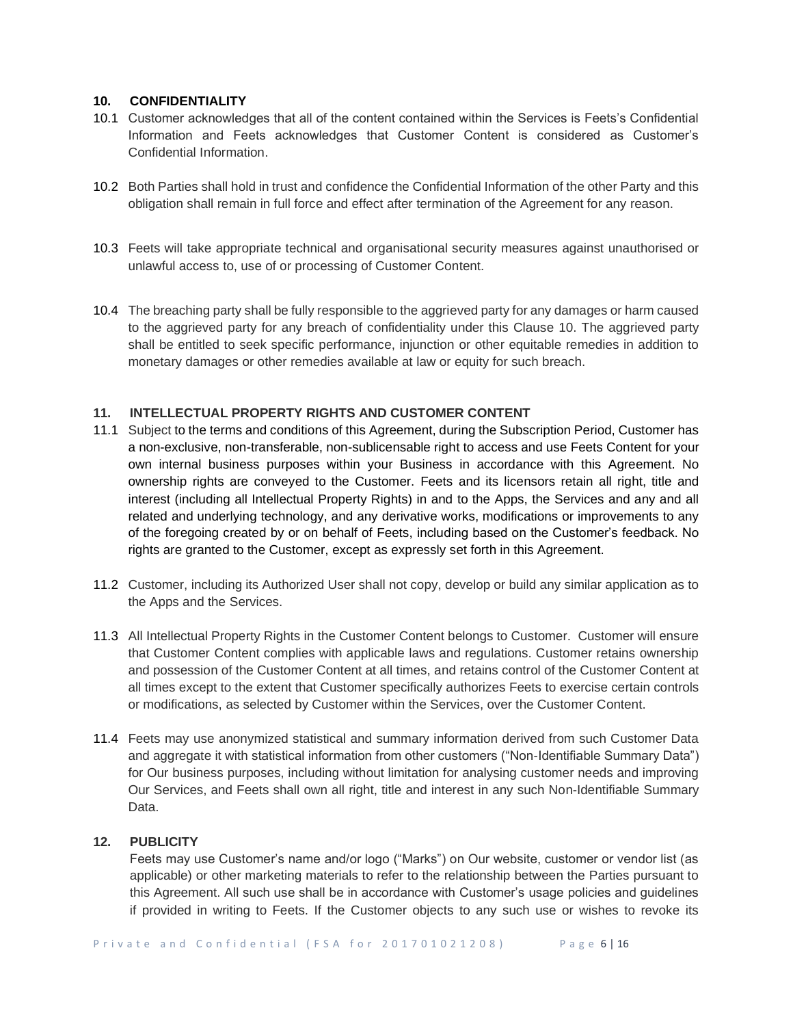### **10. CONFIDENTIALITY**

- 10.1 Customer acknowledges that all of the content contained within the Services is Feets's Confidential Information and Feets acknowledges that Customer Content is considered as Customer's Confidential Information.
- 10.2 Both Parties shall hold in trust and confidence the Confidential Information of the other Party and this obligation shall remain in full force and effect after termination of the Agreement for any reason.
- 10.3 Feets will take appropriate technical and organisational security measures against unauthorised or unlawful access to, use of or processing of Customer Content.
- 10.4 The breaching party shall be fully responsible to the aggrieved party for any damages or harm caused to the aggrieved party for any breach of confidentiality under this Clause 10. The aggrieved party shall be entitled to seek specific performance, injunction or other equitable remedies in addition to monetary damages or other remedies available at law or equity for such breach.

# **11. INTELLECTUAL PROPERTY RIGHTS AND CUSTOMER CONTENT**

- 11.1 Subject to the terms and conditions of this Agreement, during the Subscription Period, Customer has a non-exclusive, non-transferable, non-sublicensable right to access and use Feets Content for your own internal business purposes within your Business in accordance with this Agreement. No ownership rights are conveyed to the Customer. Feets and its licensors retain all right, title and interest (including all Intellectual Property Rights) in and to the Apps, the Services and any and all related and underlying technology, and any derivative works, modifications or improvements to any of the foregoing created by or on behalf of Feets, including based on the Customer's feedback. No rights are granted to the Customer, except as expressly set forth in this Agreement.
- 11.2 Customer, including its Authorized User shall not copy, develop or build any similar application as to the Apps and the Services.
- 11.3 All Intellectual Property Rights in the Customer Content belongs to Customer. Customer will ensure that Customer Content complies with applicable laws and regulations. Customer retains ownership and possession of the Customer Content at all times, and retains control of the Customer Content at all times except to the extent that Customer specifically authorizes Feets to exercise certain controls or modifications, as selected by Customer within the Services, over the Customer Content.
- 11.4 Feets may use anonymized statistical and summary information derived from such Customer Data and aggregate it with statistical information from other customers ("Non-Identifiable Summary Data") for Our business purposes, including without limitation for analysing customer needs and improving Our Services, and Feets shall own all right, title and interest in any such Non-Identifiable Summary Data.

# **12. PUBLICITY**

Feets may use Customer's name and/or logo ("Marks") on Our website, customer or vendor list (as applicable) or other marketing materials to refer to the relationship between the Parties pursuant to this Agreement. All such use shall be in accordance with Customer's usage policies and guidelines if provided in writing to Feets. If the Customer objects to any such use or wishes to revoke its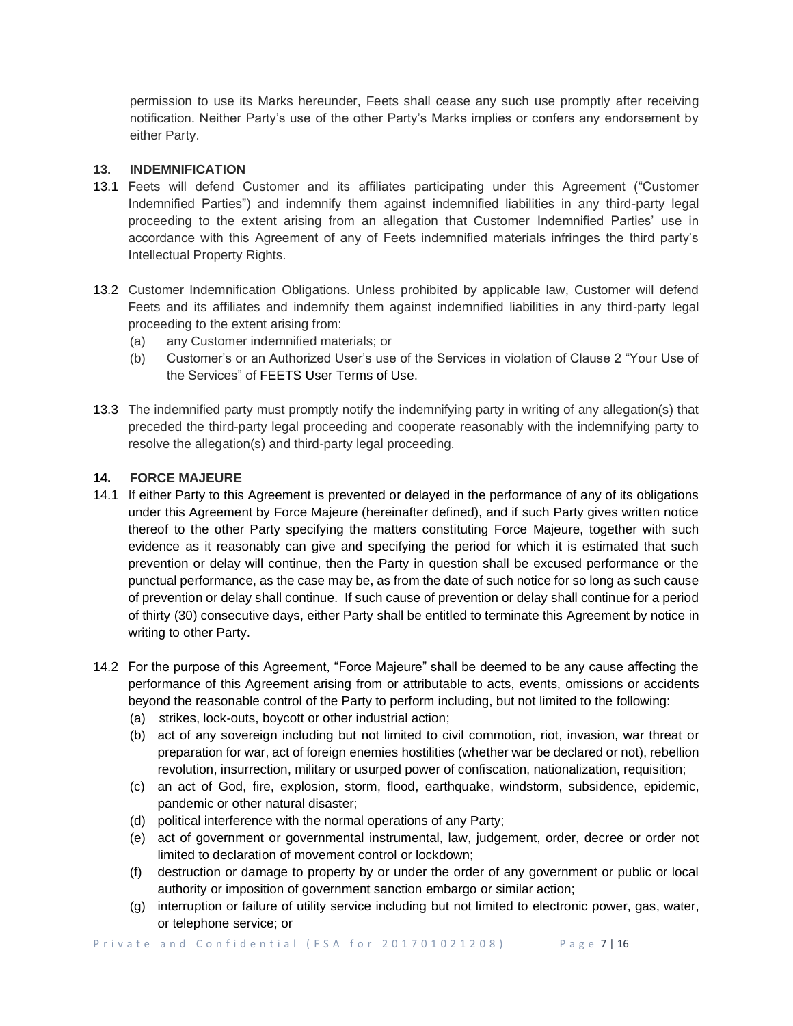permission to use its Marks hereunder, Feets shall cease any such use promptly after receiving notification. Neither Party's use of the other Party's Marks implies or confers any endorsement by either Party.

### **13. INDEMNIFICATION**

- 13.1 Feets will defend Customer and its affiliates participating under this Agreement ("Customer Indemnified Parties") and indemnify them against indemnified liabilities in any third-party legal proceeding to the extent arising from an allegation that Customer Indemnified Parties' use in accordance with this Agreement of any of Feets indemnified materials infringes the third party's Intellectual Property Rights.
- 13.2 Customer Indemnification Obligations. Unless prohibited by applicable law, Customer will defend Feets and its affiliates and indemnify them against indemnified liabilities in any third-party legal proceeding to the extent arising from:
	- (a) any Customer indemnified materials; or
	- (b) Customer's or an Authorized User's use of the Services in violation of Clause 2 "Your Use of the Services" of FEETS User Terms of Use.
- 13.3 The indemnified party must promptly notify the indemnifying party in writing of any allegation(s) that preceded the third-party legal proceeding and cooperate reasonably with the indemnifying party to resolve the allegation(s) and third-party legal proceeding.

# **14. FORCE MAJEURE**

- 14.1 If either Party to this Agreement is prevented or delayed in the performance of any of its obligations under this Agreement by Force Majeure (hereinafter defined), and if such Party gives written notice thereof to the other Party specifying the matters constituting Force Majeure, together with such evidence as it reasonably can give and specifying the period for which it is estimated that such prevention or delay will continue, then the Party in question shall be excused performance or the punctual performance, as the case may be, as from the date of such notice for so long as such cause of prevention or delay shall continue. If such cause of prevention or delay shall continue for a period of thirty (30) consecutive days, either Party shall be entitled to terminate this Agreement by notice in writing to other Party.
- 14.2 For the purpose of this Agreement, "Force Majeure" shall be deemed to be any cause affecting the performance of this Agreement arising from or attributable to acts, events, omissions or accidents beyond the reasonable control of the Party to perform including, but not limited to the following:
	- (a) strikes, lock-outs, boycott or other industrial action;
	- (b) act of any sovereign including but not limited to civil commotion, riot, invasion, war threat or preparation for war, act of foreign enemies hostilities (whether war be declared or not), rebellion revolution, insurrection, military or usurped power of confiscation, nationalization, requisition;
	- (c) an act of God, fire, explosion, storm, flood, earthquake, windstorm, subsidence, epidemic, pandemic or other natural disaster;
	- (d) political interference with the normal operations of any Party;
	- (e) act of government or governmental instrumental, law, judgement, order, decree or order not limited to declaration of movement control or lockdown;
	- (f) destruction or damage to property by or under the order of any government or public or local authority or imposition of government sanction embargo or similar action;
	- (g) interruption or failure of utility service including but not limited to electronic power, gas, water, or telephone service; or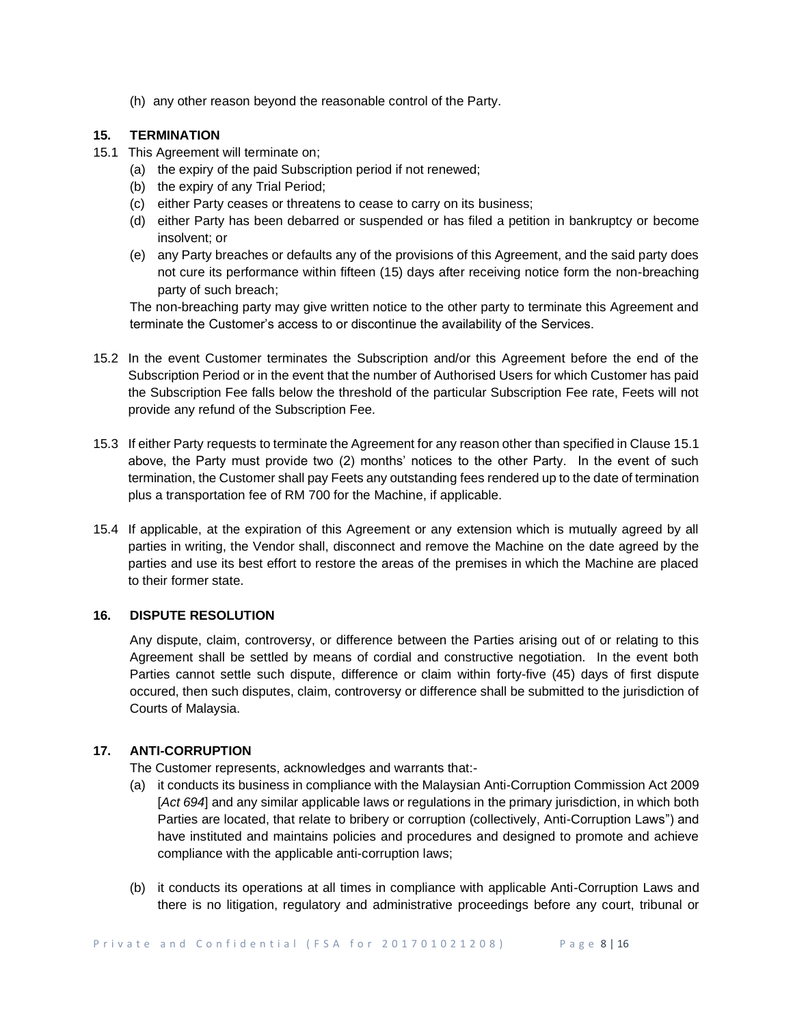(h) any other reason beyond the reasonable control of the Party.

# **15. TERMINATION**

- 15.1 This Agreement will terminate on;
	- (a) the expiry of the paid Subscription period if not renewed;
	- (b) the expiry of any Trial Period;
	- (c) either Party ceases or threatens to cease to carry on its business;
	- (d) either Party has been debarred or suspended or has filed a petition in bankruptcy or become insolvent; or
	- (e) any Party breaches or defaults any of the provisions of this Agreement, and the said party does not cure its performance within fifteen (15) days after receiving notice form the non-breaching party of such breach;

The non-breaching party may give written notice to the other party to terminate this Agreement and terminate the Customer's access to or discontinue the availability of the Services.

- 15.2 In the event Customer terminates the Subscription and/or this Agreement before the end of the Subscription Period or in the event that the number of Authorised Users for which Customer has paid the Subscription Fee falls below the threshold of the particular Subscription Fee rate, Feets will not provide any refund of the Subscription Fee.
- 15.3 If either Party requests to terminate the Agreement for any reason other than specified in Clause 15.1 above, the Party must provide two (2) months' notices to the other Party. In the event of such termination, the Customer shall pay Feets any outstanding fees rendered up to the date of termination plus a transportation fee of RM 700 for the Machine, if applicable.
- 15.4 If applicable, at the expiration of this Agreement or any extension which is mutually agreed by all parties in writing, the Vendor shall, disconnect and remove the Machine on the date agreed by the parties and use its best effort to restore the areas of the premises in which the Machine are placed to their former state.

# **16. DISPUTE RESOLUTION**

Any dispute, claim, controversy, or difference between the Parties arising out of or relating to this Agreement shall be settled by means of cordial and constructive negotiation. In the event both Parties cannot settle such dispute, difference or claim within forty-five (45) days of first dispute occured, then such disputes, claim, controversy or difference shall be submitted to the jurisdiction of Courts of Malaysia.

# **17. ANTI-CORRUPTION**

The Customer represents, acknowledges and warrants that:-

- (a) it conducts its business in compliance with the Malaysian Anti-Corruption Commission Act 2009 [*Act 694*] and any similar applicable laws or regulations in the primary jurisdiction, in which both Parties are located, that relate to bribery or corruption (collectively, Anti-Corruption Laws") and have instituted and maintains policies and procedures and designed to promote and achieve compliance with the applicable anti-corruption laws;
- (b) it conducts its operations at all times in compliance with applicable Anti-Corruption Laws and there is no litigation, regulatory and administrative proceedings before any court, tribunal or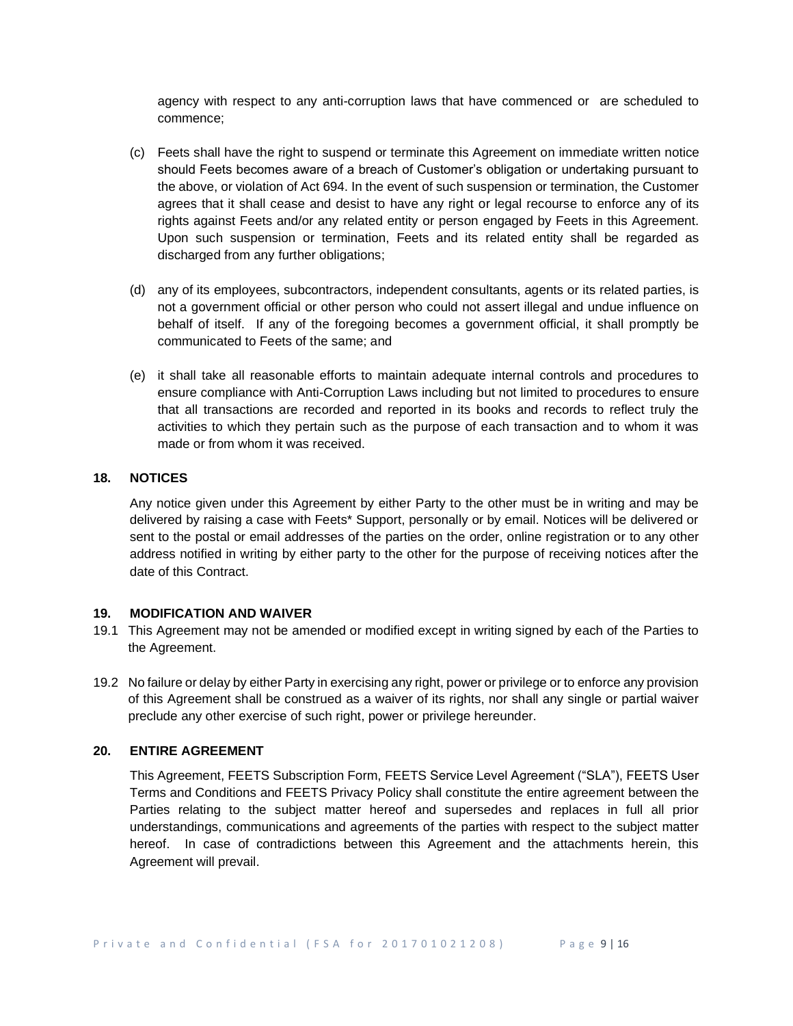agency with respect to any anti-corruption laws that have commenced or are scheduled to commence;

- (c) Feets shall have the right to suspend or terminate this Agreement on immediate written notice should Feets becomes aware of a breach of Customer's obligation or undertaking pursuant to the above, or violation of Act 694. In the event of such suspension or termination, the Customer agrees that it shall cease and desist to have any right or legal recourse to enforce any of its rights against Feets and/or any related entity or person engaged by Feets in this Agreement. Upon such suspension or termination, Feets and its related entity shall be regarded as discharged from any further obligations;
- (d) any of its employees, subcontractors, independent consultants, agents or its related parties, is not a government official or other person who could not assert illegal and undue influence on behalf of itself. If any of the foregoing becomes a government official, it shall promptly be communicated to Feets of the same; and
- (e) it shall take all reasonable efforts to maintain adequate internal controls and procedures to ensure compliance with Anti-Corruption Laws including but not limited to procedures to ensure that all transactions are recorded and reported in its books and records to reflect truly the activities to which they pertain such as the purpose of each transaction and to whom it was made or from whom it was received.

# **18. NOTICES**

Any notice given under this Agreement by either Party to the other must be in writing and may be delivered by raising a case with Feets\* Support, personally or by email. Notices will be delivered or sent to the postal or email addresses of the parties on the order, online registration or to any other address notified in writing by either party to the other for the purpose of receiving notices after the date of this Contract.

### **19. MODIFICATION AND WAIVER**

- 19.1 This Agreement may not be amended or modified except in writing signed by each of the Parties to the Agreement.
- 19.2 No failure or delay by either Party in exercising any right, power or privilege or to enforce any provision of this Agreement shall be construed as a waiver of its rights, nor shall any single or partial waiver preclude any other exercise of such right, power or privilege hereunder.

### **20. ENTIRE AGREEMENT**

This Agreement, FEETS Subscription Form, FEETS Service Level Agreement ("SLA"), FEETS User Terms and Conditions and FEETS Privacy Policy shall constitute the entire agreement between the Parties relating to the subject matter hereof and supersedes and replaces in full all prior understandings, communications and agreements of the parties with respect to the subject matter hereof. In case of contradictions between this Agreement and the attachments herein, this Agreement will prevail.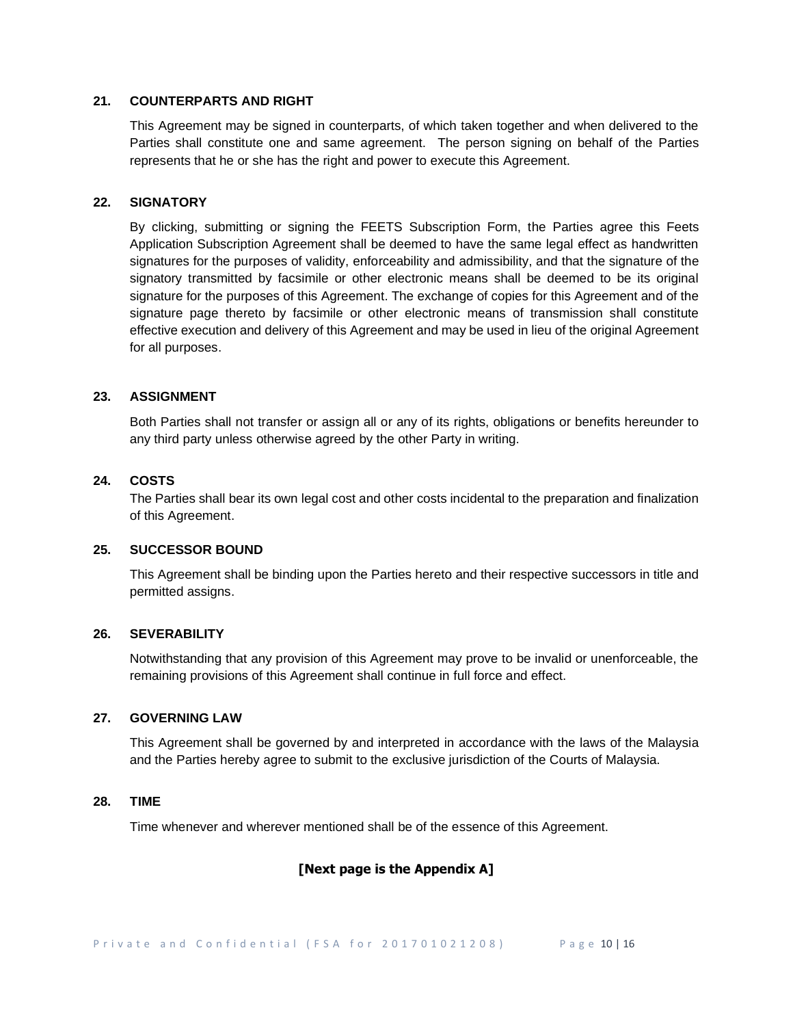### **21. COUNTERPARTS AND RIGHT**

This Agreement may be signed in counterparts, of which taken together and when delivered to the Parties shall constitute one and same agreement. The person signing on behalf of the Parties represents that he or she has the right and power to execute this Agreement.

#### **22. SIGNATORY**

By clicking, submitting or signing the FEETS Subscription Form, the Parties agree this Feets Application Subscription Agreement shall be deemed to have the same legal effect as handwritten signatures for the purposes of validity, enforceability and admissibility, and that the signature of the signatory transmitted by facsimile or other electronic means shall be deemed to be its original signature for the purposes of this Agreement. The exchange of copies for this Agreement and of the signature page thereto by facsimile or other electronic means of transmission shall constitute effective execution and delivery of this Agreement and may be used in lieu of the original Agreement for all purposes.

#### **23. ASSIGNMENT**

Both Parties shall not transfer or assign all or any of its rights, obligations or benefits hereunder to any third party unless otherwise agreed by the other Party in writing.

#### **24. COSTS**

The Parties shall bear its own legal cost and other costs incidental to the preparation and finalization of this Agreement.

### **25. SUCCESSOR BOUND**

This Agreement shall be binding upon the Parties hereto and their respective successors in title and permitted assigns.

# **26. SEVERABILITY**

Notwithstanding that any provision of this Agreement may prove to be invalid or unenforceable, the remaining provisions of this Agreement shall continue in full force and effect.

#### **27. GOVERNING LAW**

This Agreement shall be governed by and interpreted in accordance with the laws of the Malaysia and the Parties hereby agree to submit to the exclusive jurisdiction of the Courts of Malaysia.

#### **28. TIME**

Time whenever and wherever mentioned shall be of the essence of this Agreement.

# **[Next page is the Appendix A]**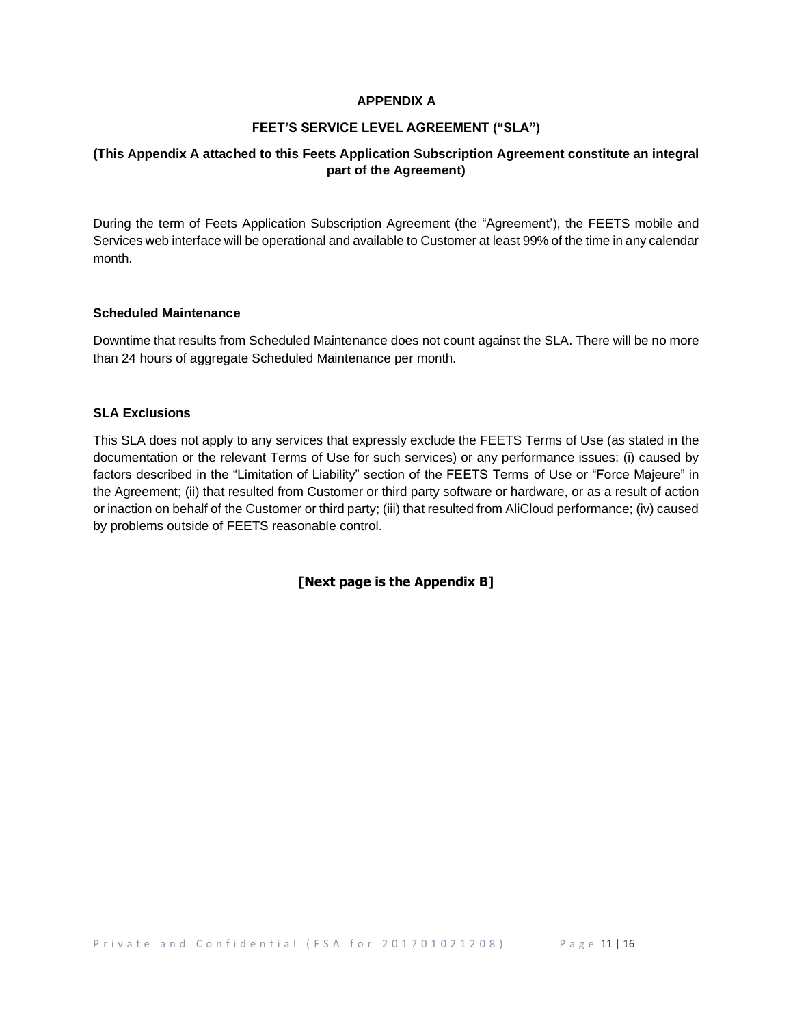### **APPENDIX A**

## **FEET'S SERVICE LEVEL AGREEMENT ("SLA")**

# **(This Appendix A attached to this Feets Application Subscription Agreement constitute an integral part of the Agreement)**

During the term of Feets Application Subscription Agreement (the "Agreement'), the FEETS mobile and Services web interface will be operational and available to Customer at least 99% of the time in any calendar month.

### **Scheduled Maintenance**

Downtime that results from Scheduled Maintenance does not count against the SLA. There will be no more than 24 hours of aggregate Scheduled Maintenance per month.

#### **SLA Exclusions**

This SLA does not apply to any services that expressly exclude the FEETS Terms of Use (as stated in the documentation or the relevant Terms of Use for such services) or any performance issues: (i) caused by factors described in the "Limitation of Liability" section of the FEETS Terms of Use or "Force Majeure" in the Agreement; (ii) that resulted from Customer or third party software or hardware, or as a result of action or inaction on behalf of the Customer or third party; (iii) that resulted from AliCloud performance; (iv) caused by problems outside of FEETS reasonable control.

**[Next page is the Appendix B]**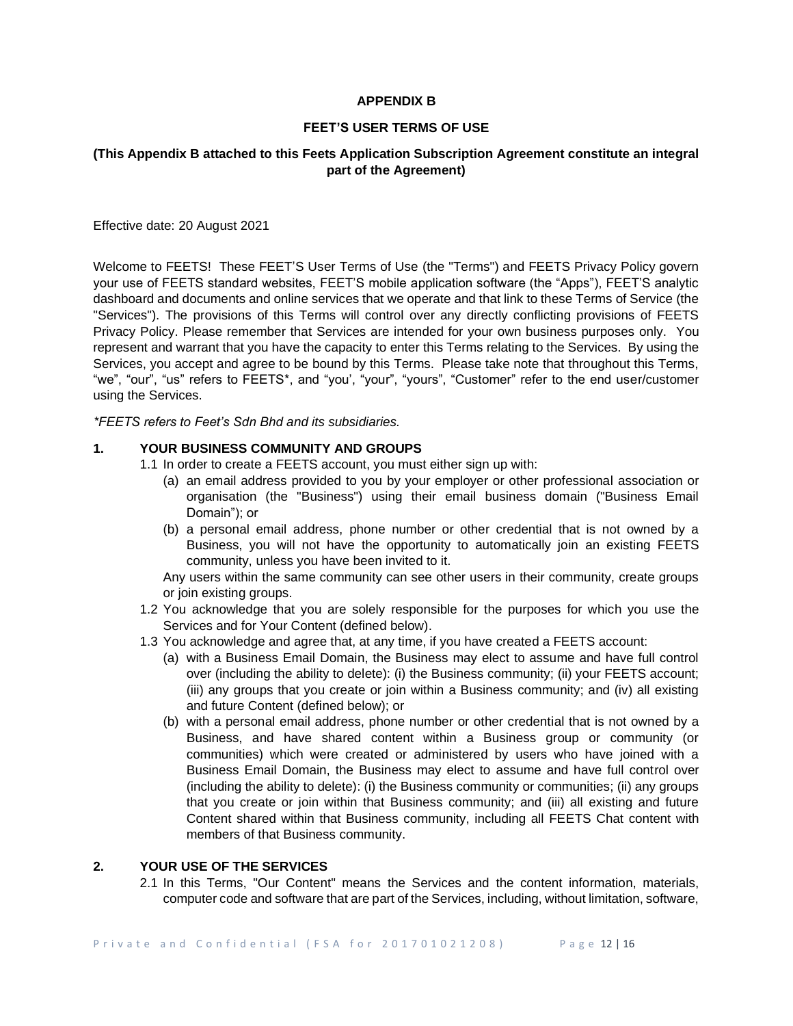### **APPENDIX B**

### **FEET'S USER TERMS OF USE**

# **(This Appendix B attached to this Feets Application Subscription Agreement constitute an integral part of the Agreement)**

Effective date: 20 August 2021

Welcome to FEETS! These FEET'S User Terms of Use (the "Terms") and FEETS Privacy Policy govern your use of FEETS standard websites, FEET'S mobile application software (the "Apps"), FEET'S analytic dashboard and documents and online services that we operate and that link to these Terms of Service (the "Services"). The provisions of this Terms will control over any directly conflicting provisions of FEETS Privacy Policy. Please remember that Services are intended for your own business purposes only. You represent and warrant that you have the capacity to enter this Terms relating to the Services. By using the Services, you accept and agree to be bound by this Terms. Please take note that throughout this Terms, "we", "our", "us" refers to FEETS\*, and "you', "your", "yours", "Customer" refer to the end user/customer using the Services.

*\*FEETS refers to Feet's Sdn Bhd and its subsidiaries.*

# **1. YOUR BUSINESS COMMUNITY AND GROUPS**

- 1.1 In order to create a FEETS account, you must either sign up with:
	- (a) an email address provided to you by your employer or other professional association or organisation (the "Business") using their email business domain ("Business Email Domain"); or
	- (b) a personal email address, phone number or other credential that is not owned by a Business, you will not have the opportunity to automatically join an existing FEETS community, unless you have been invited to it.

Any users within the same community can see other users in their community, create groups or join existing groups.

- 1.2 You acknowledge that you are solely responsible for the purposes for which you use the Services and for Your Content (defined below).
- 1.3 You acknowledge and agree that, at any time, if you have created a FEETS account:
	- (a) with a Business Email Domain, the Business may elect to assume and have full control over (including the ability to delete): (i) the Business community; (ii) your FEETS account; (iii) any groups that you create or join within a Business community; and (iv) all existing and future Content (defined below); or
	- (b) with a personal email address, phone number or other credential that is not owned by a Business, and have shared content within a Business group or community (or communities) which were created or administered by users who have joined with a Business Email Domain, the Business may elect to assume and have full control over (including the ability to delete): (i) the Business community or communities; (ii) any groups that you create or join within that Business community; and (iii) all existing and future Content shared within that Business community, including all FEETS Chat content with members of that Business community.

# **2. YOUR USE OF THE SERVICES**

2.1 In this Terms, "Our Content" means the Services and the content information, materials, computer code and software that are part of the Services, including, without limitation, software,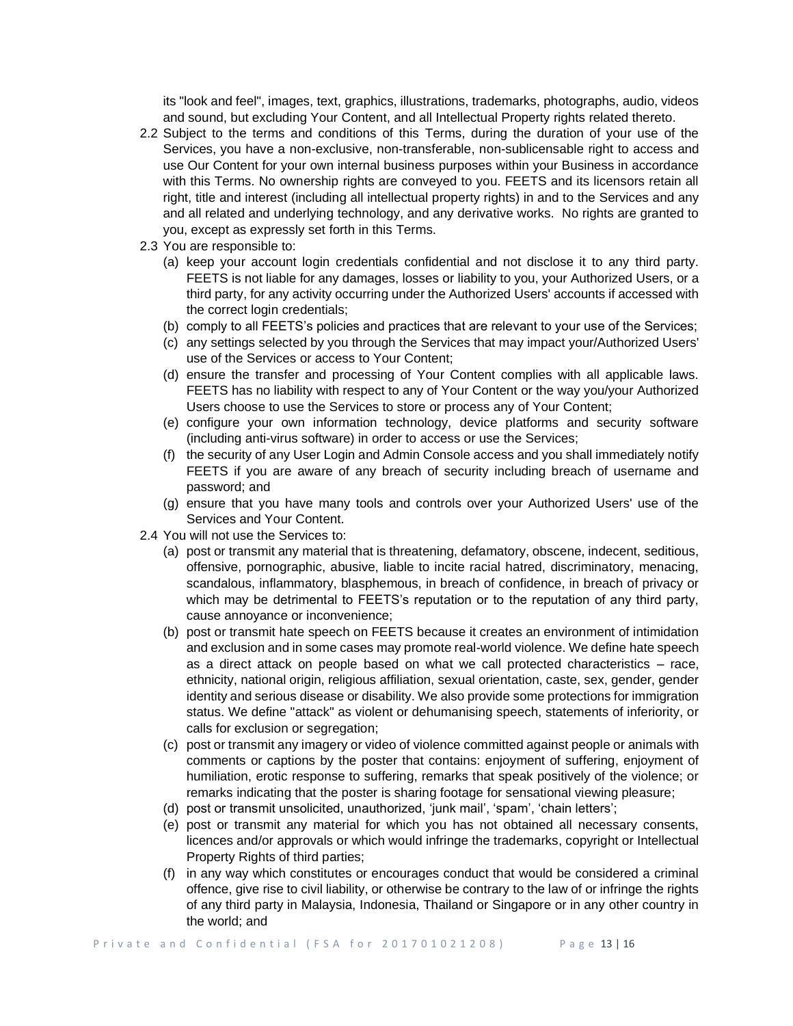its "look and feel", images, text, graphics, illustrations, trademarks, photographs, audio, videos and sound, but excluding Your Content, and all Intellectual Property rights related thereto.

- 2.2 Subject to the terms and conditions of this Terms, during the duration of your use of the Services, you have a non-exclusive, non-transferable, non-sublicensable right to access and use Our Content for your own internal business purposes within your Business in accordance with this Terms. No ownership rights are conveyed to you. FEETS and its licensors retain all right, title and interest (including all intellectual property rights) in and to the Services and any and all related and underlying technology, and any derivative works. No rights are granted to you, except as expressly set forth in this Terms.
- 2.3 You are responsible to:
	- (a) keep your account login credentials confidential and not disclose it to any third party. FEETS is not liable for any damages, losses or liability to you, your Authorized Users, or a third party, for any activity occurring under the Authorized Users' accounts if accessed with the correct login credentials;
	- (b) comply to all FEETS's policies and practices that are relevant to your use of the Services;
	- (c) any settings selected by you through the Services that may impact your/Authorized Users' use of the Services or access to Your Content;
	- (d) ensure the transfer and processing of Your Content complies with all applicable laws. FEETS has no liability with respect to any of Your Content or the way you/your Authorized Users choose to use the Services to store or process any of Your Content;
	- (e) configure your own information technology, device platforms and security software (including anti-virus software) in order to access or use the Services;
	- (f) the security of any User Login and Admin Console access and you shall immediately notify FEETS if you are aware of any breach of security including breach of username and password; and
	- (g) ensure that you have many tools and controls over your Authorized Users' use of the Services and Your Content.
- 2.4 You will not use the Services to:
	- (a) post or transmit any material that is threatening, defamatory, obscene, indecent, seditious, offensive, pornographic, abusive, liable to incite racial hatred, discriminatory, menacing, scandalous, inflammatory, blasphemous, in breach of confidence, in breach of privacy or which may be detrimental to FEETS's reputation or to the reputation of any third party, cause annoyance or inconvenience;
	- (b) post or transmit hate speech on FEETS because it creates an environment of intimidation and exclusion and in some cases may promote real-world violence. We define hate speech as a direct attack on people based on what we call protected characteristics – race, ethnicity, national origin, religious affiliation, sexual orientation, caste, sex, gender, gender identity and serious disease or disability. We also provide some protections for immigration status. We define "attack" as violent or dehumanising speech, statements of inferiority, or calls for exclusion or segregation;
	- (c) post or transmit any imagery or video of violence committed against people or animals with comments or captions by the poster that contains: enjoyment of suffering, enjoyment of humiliation, erotic response to suffering, remarks that speak positively of the violence; or remarks indicating that the poster is sharing footage for sensational viewing pleasure;
	- (d) post or transmit unsolicited, unauthorized, 'junk mail', 'spam', 'chain letters';
	- (e) post or transmit any material for which you has not obtained all necessary consents, licences and/or approvals or which would infringe the trademarks, copyright or Intellectual Property Rights of third parties;
	- (f) in any way which constitutes or encourages conduct that would be considered a criminal offence, give rise to civil liability, or otherwise be contrary to the law of or infringe the rights of any third party in Malaysia, Indonesia, Thailand or Singapore or in any other country in the world; and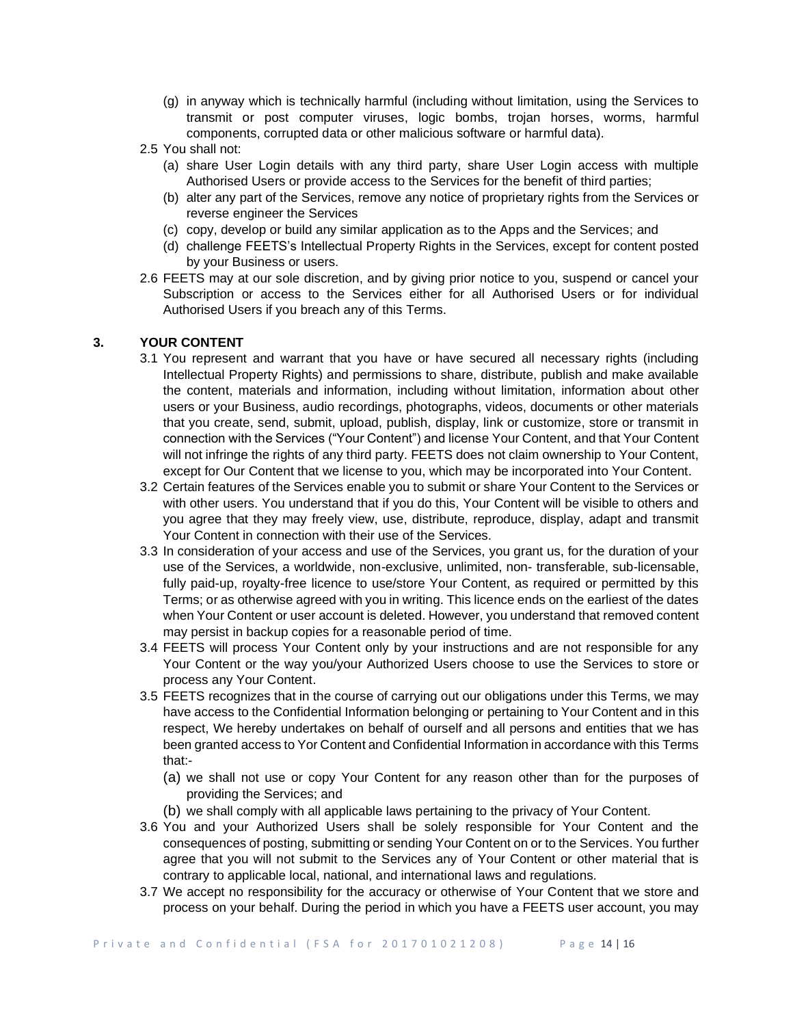- (g) in anyway which is technically harmful (including without limitation, using the Services to transmit or post computer viruses, logic bombs, trojan horses, worms, harmful components, corrupted data or other malicious software or harmful data).
- 2.5 You shall not:
	- (a) share User Login details with any third party, share User Login access with multiple Authorised Users or provide access to the Services for the benefit of third parties;
	- (b) alter any part of the Services, remove any notice of proprietary rights from the Services or reverse engineer the Services
	- (c) copy, develop or build any similar application as to the Apps and the Services; and
	- (d) challenge FEETS's Intellectual Property Rights in the Services, except for content posted by your Business or users.
- 2.6 FEETS may at our sole discretion, and by giving prior notice to you, suspend or cancel your Subscription or access to the Services either for all Authorised Users or for individual Authorised Users if you breach any of this Terms.

# **3. YOUR CONTENT**

- 3.1 You represent and warrant that you have or have secured all necessary rights (including Intellectual Property Rights) and permissions to share, distribute, publish and make available the content, materials and information, including without limitation, information about other users or your Business, audio recordings, photographs, videos, documents or other materials that you create, send, submit, upload, publish, display, link or customize, store or transmit in connection with the Services ("Your Content") and license Your Content, and that Your Content will not infringe the rights of any third party. FEETS does not claim ownership to Your Content, except for Our Content that we license to you, which may be incorporated into Your Content.
- 3.2 Certain features of the Services enable you to submit or share Your Content to the Services or with other users. You understand that if you do this, Your Content will be visible to others and you agree that they may freely view, use, distribute, reproduce, display, adapt and transmit Your Content in connection with their use of the Services.
- 3.3 In consideration of your access and use of the Services, you grant us, for the duration of your use of the Services, a worldwide, non-exclusive, unlimited, non- transferable, sub-licensable, fully paid-up, royalty-free licence to use/store Your Content, as required or permitted by this Terms; or as otherwise agreed with you in writing. This licence ends on the earliest of the dates when Your Content or user account is deleted. However, you understand that removed content may persist in backup copies for a reasonable period of time.
- 3.4 FEETS will process Your Content only by your instructions and are not responsible for any Your Content or the way you/your Authorized Users choose to use the Services to store or process any Your Content.
- 3.5 FEETS recognizes that in the course of carrying out our obligations under this Terms, we may have access to the Confidential Information belonging or pertaining to Your Content and in this respect, We hereby undertakes on behalf of ourself and all persons and entities that we has been granted access to Yor Content and Confidential Information in accordance with this Terms that:-
	- (a) we shall not use or copy Your Content for any reason other than for the purposes of providing the Services; and
	- (b) we shall comply with all applicable laws pertaining to the privacy of Your Content.
- 3.6 You and your Authorized Users shall be solely responsible for Your Content and the consequences of posting, submitting or sending Your Content on or to the Services. You further agree that you will not submit to the Services any of Your Content or other material that is contrary to applicable local, national, and international laws and regulations.
- 3.7 We accept no responsibility for the accuracy or otherwise of Your Content that we store and process on your behalf. During the period in which you have a FEETS user account, you may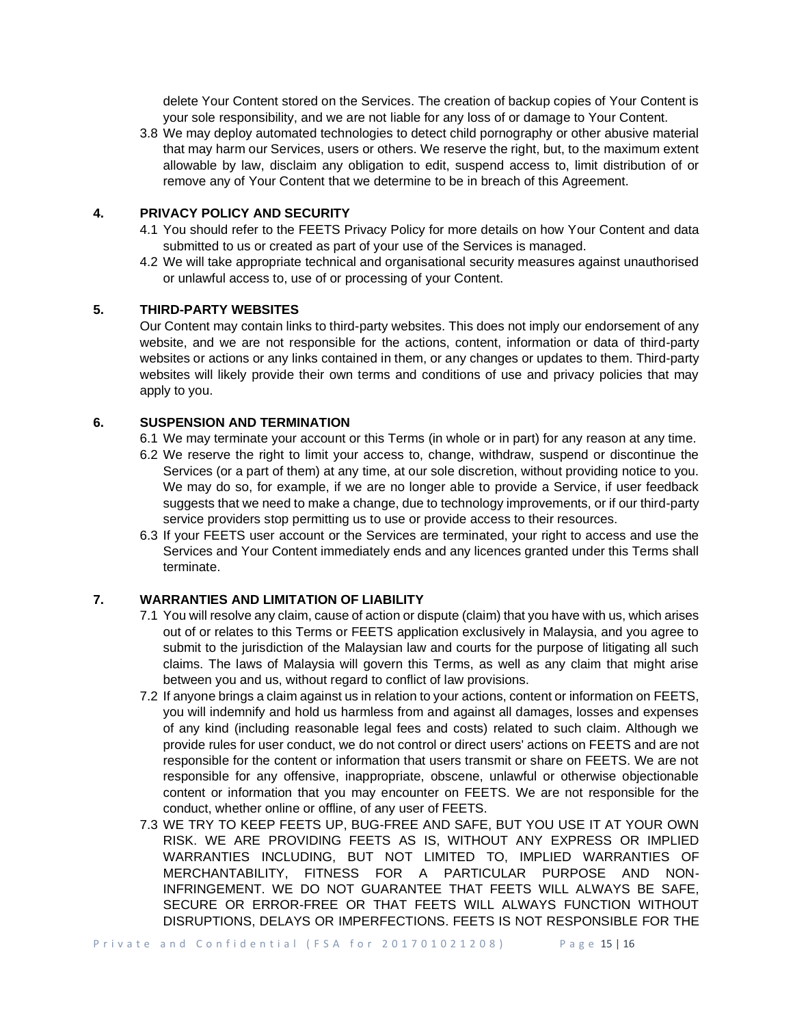delete Your Content stored on the Services. The creation of backup copies of Your Content is your sole responsibility, and we are not liable for any loss of or damage to Your Content.

3.8 We may deploy automated technologies to detect child pornography or other abusive material that may harm our Services, users or others. We reserve the right, but, to the maximum extent allowable by law, disclaim any obligation to edit, suspend access to, limit distribution of or remove any of Your Content that we determine to be in breach of this Agreement.

# **4. PRIVACY POLICY AND SECURITY**

- 4.1 You should refer to the FEETS Privacy Policy for more details on how Your Content and data submitted to us or created as part of your use of the Services is managed.
- 4.2 We will take appropriate technical and organisational security measures against unauthorised or unlawful access to, use of or processing of your Content.

### **5. THIRD-PARTY WEBSITES**

Our Content may contain links to third-party websites. This does not imply our endorsement of any website, and we are not responsible for the actions, content, information or data of third-party websites or actions or any links contained in them, or any changes or updates to them. Third-party websites will likely provide their own terms and conditions of use and privacy policies that may apply to you.

# **6. SUSPENSION AND TERMINATION**

- 6.1 We may terminate your account or this Terms (in whole or in part) for any reason at any time.
- 6.2 We reserve the right to limit your access to, change, withdraw, suspend or discontinue the Services (or a part of them) at any time, at our sole discretion, without providing notice to you. We may do so, for example, if we are no longer able to provide a Service, if user feedback suggests that we need to make a change, due to technology improvements, or if our third-party service providers stop permitting us to use or provide access to their resources.
- 6.3 If your FEETS user account or the Services are terminated, your right to access and use the Services and Your Content immediately ends and any licences granted under this Terms shall terminate.

### **7. WARRANTIES AND LIMITATION OF LIABILITY**

- 7.1 You will resolve any claim, cause of action or dispute (claim) that you have with us, which arises out of or relates to this Terms or FEETS application exclusively in Malaysia, and you agree to submit to the jurisdiction of the Malaysian law and courts for the purpose of litigating all such claims. The laws of Malaysia will govern this Terms, as well as any claim that might arise between you and us, without regard to conflict of law provisions.
- 7.2 If anyone brings a claim against us in relation to your actions, content or information on FEETS, you will indemnify and hold us harmless from and against all damages, losses and expenses of any kind (including reasonable legal fees and costs) related to such claim. Although we provide rules for user conduct, we do not control or direct users' actions on FEETS and are not responsible for the content or information that users transmit or share on FEETS. We are not responsible for any offensive, inappropriate, obscene, unlawful or otherwise objectionable content or information that you may encounter on FEETS. We are not responsible for the conduct, whether online or offline, of any user of FEETS.
- 7.3 WE TRY TO KEEP FEETS UP, BUG-FREE AND SAFE, BUT YOU USE IT AT YOUR OWN RISK. WE ARE PROVIDING FEETS AS IS, WITHOUT ANY EXPRESS OR IMPLIED WARRANTIES INCLUDING, BUT NOT LIMITED TO, IMPLIED WARRANTIES OF MERCHANTABILITY, FITNESS FOR A PARTICULAR PURPOSE AND NON-INFRINGEMENT. WE DO NOT GUARANTEE THAT FEETS WILL ALWAYS BE SAFE, SECURE OR ERROR-FREE OR THAT FEETS WILL ALWAYS FUNCTION WITHOUT DISRUPTIONS, DELAYS OR IMPERFECTIONS. FEETS IS NOT RESPONSIBLE FOR THE